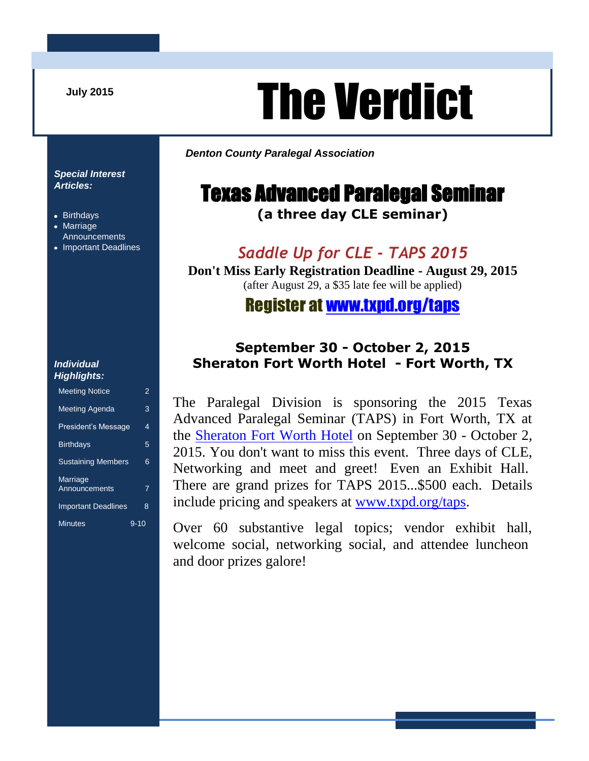**July 2015**

# The Verdict

*Denton County Paralegal Association*

# Texas Advanced Paralegal Seminar

**(a three day CLE seminar)**

#### *Saddle Up for CLE - TAPS 2015*

**Don't Miss Early Registration Deadline - August 29, 2015** (after August 29, a \$35 late fee will be applied)

#### Register at [www.txpd.org/taps](http://www.txpd.org/taps)

#### **September 30 - October 2, 2015 Sheraton Fort Worth Hotel - Fort Worth, TX**

The Paralegal Division is sponsoring the 2015 Texas Advanced Paralegal Seminar (TAPS) in Fort Worth, TX at the [Sheraton Fort Worth Hotel](https://www.starwoodmeeting.com/events/start.action?id=1502067279&key=516357F) on September 30 - October 2, 2015. You don't want to miss this event. Three days of CLE, Networking and meet and greet! Even an Exhibit Hall. There are grand prizes for TAPS 2015...\$500 each. Details include pricing and speakers at [www.txpd.org/taps.](http://www.txpd.org/taps)

Over 60 substantive legal topics; vendor exhibit hall, welcome social, networking social, and attendee luncheon and door prizes galore!

#### *Special Interest Articles:*

- Birthdays
- Marriage Announcements
- Important Deadlines

#### *Individual Highlights:*

| ngmgno.                          |      |
|----------------------------------|------|
| <b>Meeting Notice</b>            | 2    |
| <b>Meeting Agenda</b>            | 3    |
| <b>President's Message</b>       | 4    |
| <b>Birthdays</b>                 | 5    |
| <b>Sustaining Members</b>        | 6    |
| <b>Marriage</b><br>Announcements | 7    |
| <b>Important Deadlines</b>       | 8    |
| <b>Minutes</b>                   | 9-10 |
|                                  |      |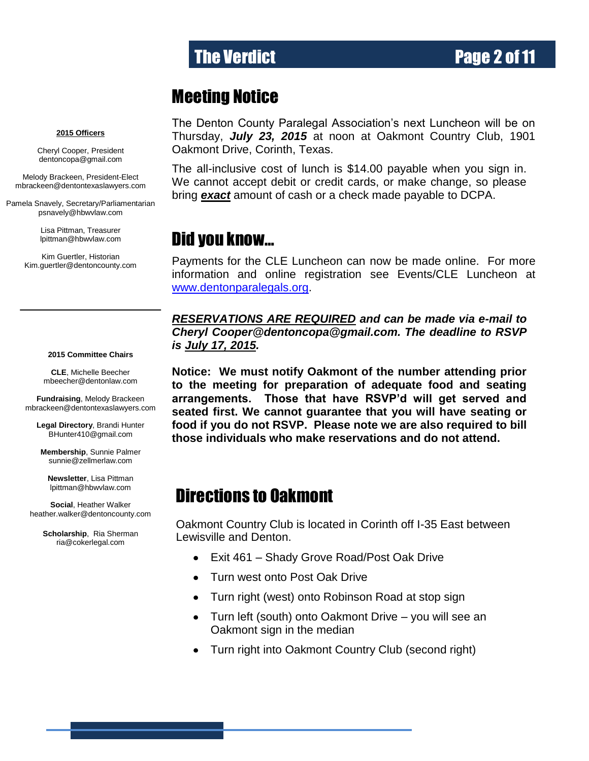### Meeting Notice

#### **2015 Officers**

Cheryl Cooper, President dentoncopa@gmail.com

Melody Brackeen, President-Elect mbrackeen@dentontexaslawyers.com

Pamela Snavely, Secretary/Parliamentarian [psnavely@hbwvlaw.com](mailto:psnavely@hbwvlaw.com)

> Lisa Pittman, Treasurer [lpittman@hbwvlaw.com](mailto:lpittman@hbwvlaw.com)

Kim Guertler, Historian [Kim.guertler@dentoncounty.com](mailto:Kim.guertler@dentoncounty.com)

**2015 Committee Chairs**

**CLE**, Michelle Beecher [mbeecher@dentonlaw.com](mailto:Vicki@cmloveless.com)

**Fundraising**, Melody Brackeen [mbrackeen@dentontexaslawyers.com](mailto:mbrackeen@dentontexaslawyers.com)

> **Legal Directory**, Brandi Hunter [BHunter410@gmail.com](mailto:BHunter410@gmail.com)

**Membership**, Sunnie Palmer [sunnie@zellmerlaw.com](mailto:gottigina@yahoo.com)

**Newsletter**, Lisa Pittman [lpittman@hbwvlaw.com](mailto:lpittman@hbwvlaw.com)

**Social**, Heather Walker [heather.walker@dentoncounty.com](mailto:heather.walker@dentoncounty.com)

> **Scholarship**, Ria Sherman [ria@cokerlegal.com](mailto:georgya@cokerlaw.com)

The Denton County Paralegal Association's next Luncheon will be on Thursday, *July 23, 2015* at noon at Oakmont Country Club, 1901 Oakmont Drive, Corinth, Texas.

The all-inclusive cost of lunch is \$14.00 payable when you sign in. We cannot accept debit or credit cards, or make change, so please bring *exact* amount of cash or a check made payable to DCPA.

### Did you know…

Payments for the CLE Luncheon can now be made online. For more information and online registration see Events/CLE Luncheon at [www.dentonparalegals.org.](http://www.dentonparalegals.org/)

*RESERVATIONS ARE REQUIRED and can be made via e-mail to Cheryl Cooper@dentoncopa@gmail.com. The deadline to RSVP is July 17, 2015.*

**Notice: We must notify Oakmont of the number attending prior to the meeting for preparation of adequate food and seating arrangements. Those that have RSVP'd will get served and seated first. We cannot guarantee that you will have seating or food if you do not RSVP. Please note we are also required to bill those individuals who make reservations and do not attend.**

### Directions to Oakmont

Oakmont Country Club is located in Corinth off I-35 East between Lewisville and Denton.

- Exit 461 Shady Grove Road/Post Oak Drive
- Turn west onto Post Oak Drive  $\bullet$
- Turn right (west) onto Robinson Road at stop sign  $\bullet$
- Turn left (south) onto Oakmont Drive you will see an  $\bullet$ Oakmont sign in the median
- Turn right into Oakmont Country Club (second right)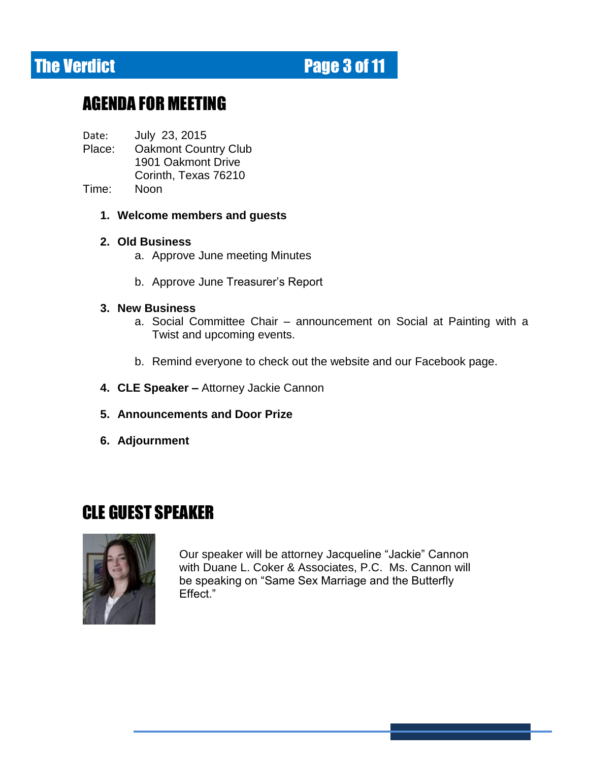# The Verdict **Page 3 of 11**

# AGENDA FOR MEETING

Date: July 23, 2015

- Place: Oakmont Country Club 1901 Oakmont Drive Corinth, Texas 76210
- Time: Noon
	- **1. Welcome members and guests**

#### **2. Old Business**

- a. Approve June meeting Minutes
- b. Approve June Treasurer's Report

#### **3. New Business**

- a. Social Committee Chair announcement on Social at Painting with a Twist and upcoming events.
- b. Remind everyone to check out the website and our Facebook page.
- **4. CLE Speaker –** Attorney Jackie Cannon
- **5. Announcements and Door Prize**
- **6. Adjournment**

### CLE GUEST SPEAKER



Our speaker will be attorney Jacqueline "Jackie" Cannon with Duane L. Coker & Associates, P.C. Ms. Cannon will be speaking on "Same Sex Marriage and the Butterfly Effect."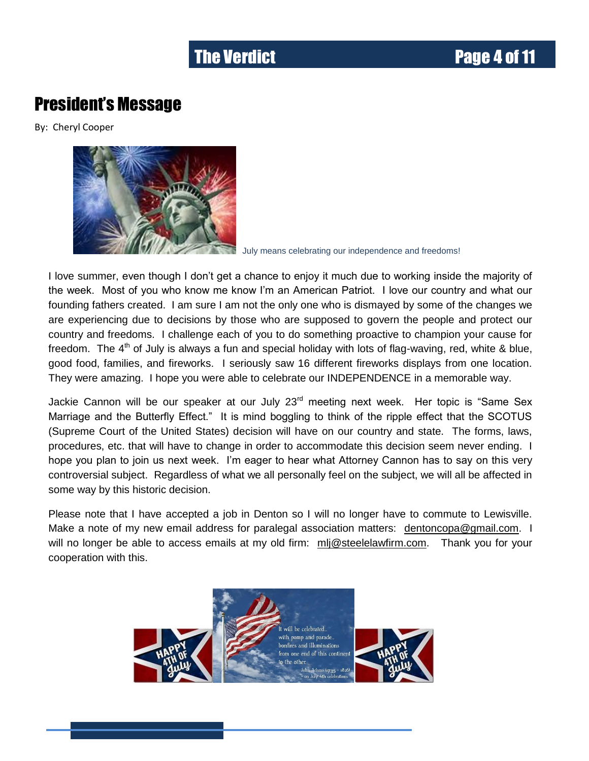### President's Message

By: Cheryl Cooper



July means celebrating our independence and freedoms!

I love summer, even though I don't get a chance to enjoy it much due to working inside the majority of the week. Most of you who know me know I'm an American Patriot. I love our country and what our founding fathers created. I am sure I am not the only one who is dismayed by some of the changes we are experiencing due to decisions by those who are supposed to govern the people and protect our country and freedoms. I challenge each of you to do something proactive to champion your cause for freedom. The  $4<sup>th</sup>$  of July is always a fun and special holiday with lots of flag-waving, red, white & blue, good food, families, and fireworks. I seriously saw 16 different fireworks displays from one location. They were amazing. I hope you were able to celebrate our INDEPENDENCE in a memorable way.

Jackie Cannon will be our speaker at our July 23<sup>rd</sup> meeting next week. Her topic is "Same Sex Marriage and the Butterfly Effect." It is mind boggling to think of the ripple effect that the SCOTUS (Supreme Court of the United States) decision will have on our country and state. The forms, laws, procedures, etc. that will have to change in order to accommodate this decision seem never ending. I hope you plan to join us next week. I'm eager to hear what Attorney Cannon has to say on this very controversial subject. Regardless of what we all personally feel on the subject, we will all be affected in some way by this historic decision.

Please note that I have accepted a job in Denton so I will no longer have to commute to Lewisville. Make a note of my new email address for paralegal association matters: [dentoncopa@gmail.com.](mailto:dentoncopa@gmail.com) I will no longer be able to access emails at my old firm: [mlj@steelelawfirm.com.](mailto:mlj@steelelawfirm.com) Thank you for your cooperation with this.

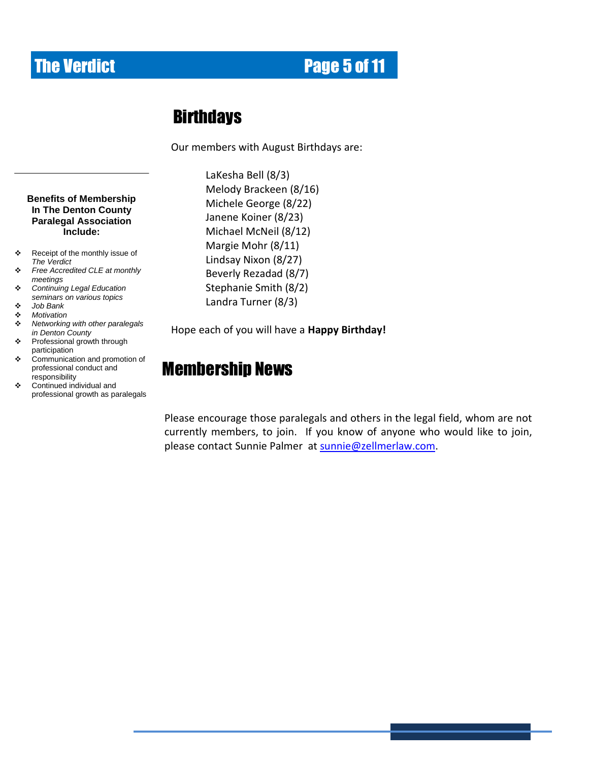# **The Verdict Community Community Page 5 of 11**

### **Birthdays**

Our members with August Birthdays are:

**Benefits of Membership In The Denton County Paralegal Association Include:**

- \* Receipt of the monthly issue of *The Verdict*
- *Free Accredited CLE at monthly meetings*
- *Continuing Legal Education seminars on various topics*
- *Job Bank*
- *Motivation*
- *Networking with other paralegals in Denton County*
- ❖ Professional growth through participation
- Communication and promotion of professional conduct and responsibility
- Continued individual and professional growth as paralegals

LaKesha Bell (8/3) Melody Brackeen (8/16) Michele George (8/22) Janene Koiner (8/23) Michael McNeil (8/12) Margie Mohr (8/11) Lindsay Nixon (8/27) Beverly Rezadad (8/7) Stephanie Smith (8/2) Landra Turner (8/3)

Hope each of you will have a **Happy Birthday!**

# Membership News

Please encourage those paralegals and others in the legal field, whom are not currently members, to join. If you know of anyone who would like to join, please contact Sunnie Palmer at [sunnie@zellmerlaw.com.](mailto:sunnie@zellmerlaw.com)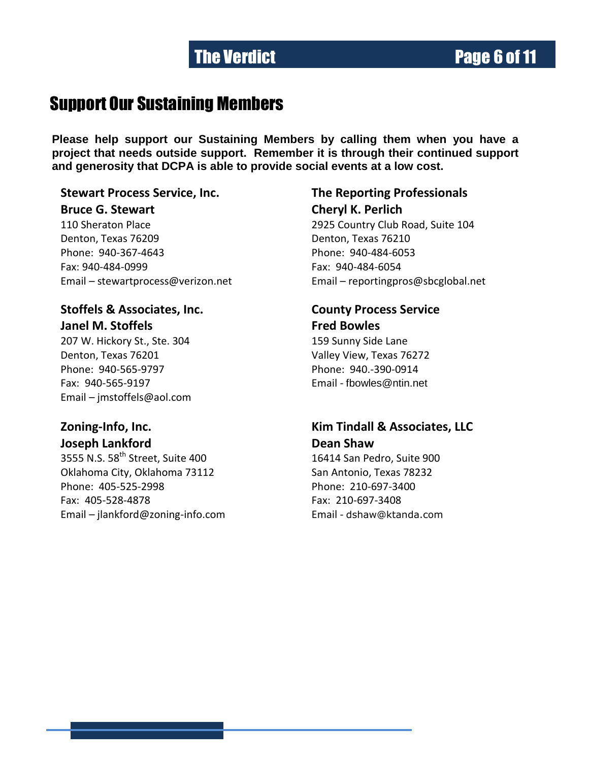# **The Verdict Community Construction Community Page 6 of 11**

### Support Our Sustaining Members

**Please help support our Sustaining Members by calling them when you have a project that needs outside support. Remember it is through their continued support and generosity that DCPA is able to provide social events at a low cost.**

#### **Stewart Process Service, Inc. The Reporting Professionals**

**Bruce G. Stewart Cheryl K. Perlich** 110 Sheraton Place 2925 Country Club Road, Suite 104 Denton, Texas 76209 Denton, Texas 76210 Phone: 940-367-4643 Phone: 940-484-6053 Fax: 940-484-0999 Fax: 940-484-6054 Email – [stewartprocess@verizon.net](mailto:stewartprocess@verizon.net) Email – [reportingpros@sbcglobal.net](mailto:reportingpros@sbcglobal.net)

### **Stoffels & Associates, Inc. County Process Service Janel M. Stoffels Fred Bowles**

Denton, Texas 76201 Valley View, Texas 76272 Phone: 940-565-9797 Phone: 940.-390-0914 Fax: 940-565-9197 Email - [fbowles@ntin.net](mailto:fbowles@ntin.net) Email – [jmstoffels@aol.com](mailto:jmstoffels@aol.com)

**Joseph Lankford Dean Shaw** 

Oklahoma City, Oklahoma 73112 San Antonio, Texas 78232 Phone: 405-525-2998 Phone: 210-697-3400 Fax: 405-528-4878 Fax: 210-697-3408 Email – [jlankford@zoning-info.com](mailto:jlankford@zoning-info.com) Email - [dshaw@ktanda.com](mailto:dshaw@ktanda.com)

207 W. Hickory St., Ste. 304 159 Sunny Side Lane

# **Zoning-Info, Inc. Kim Tindall & Associates, LLC**

3555 N.S. 58<sup>th</sup> Street, Suite 400 16414 San Pedro, Suite 900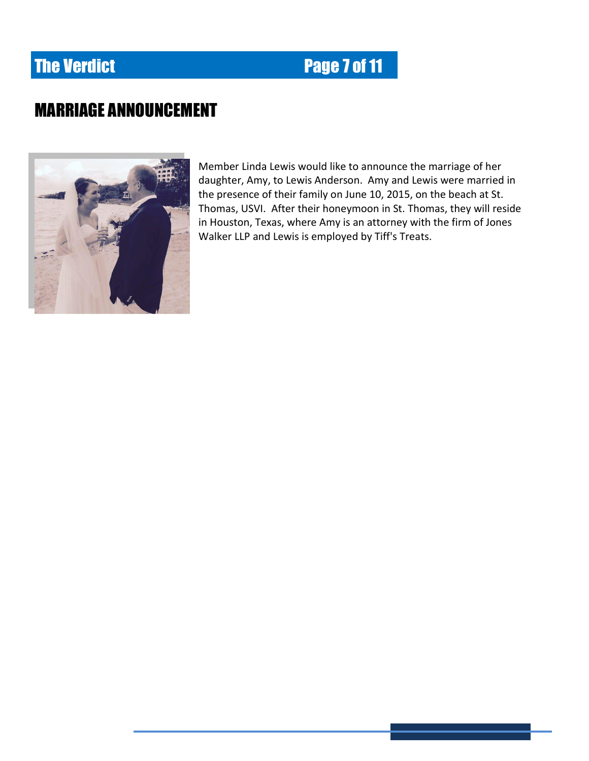# **The Verdict Electronic Electronic Page 7 of 11**

# MARRIAGE ANNOUNCEMENT



Member Linda Lewis would like to announce the marriage of her daughter, Amy, to Lewis Anderson. Amy and Lewis were married in the presence of their family on June 10, 2015, on the beach at St. Thomas, USVI. After their honeymoon in St. Thomas, they will reside in Houston, Texas, where Amy is an attorney with the firm of Jones Walker LLP and Lewis is employed by Tiff's Treats.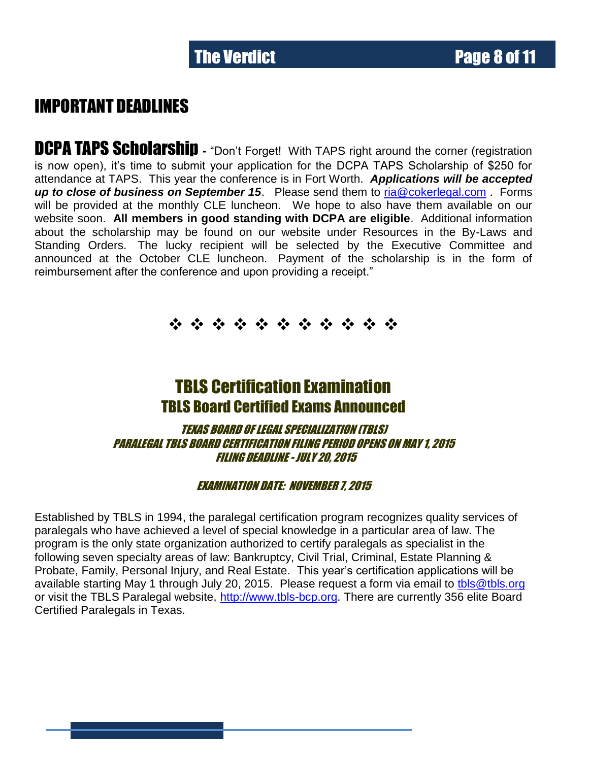### IMPORTANT DEADLINES

**DCPA TAPS Scholarship** - "Don't Forget! With TAPS right around the corner (registration is now open), it's time to submit your application for the DCPA TAPS Scholarship of \$250 for attendance at TAPS. This year the conference is in Fort Worth. *Applications will be accepted up to close of business on September 15*. Please send them to [ria@cokerlegal.com](mailto:ria@cokerlegal.com) . Forms will be provided at the monthly CLE luncheon. We hope to also have them available on our website soon. **All members in good standing with DCPA are eligible**. Additional information about the scholarship may be found on our website under Resources in the By-Laws and Standing Orders. The lucky recipient will be selected by the Executive Committee and announced at the October CLE luncheon. Payment of the scholarship is in the form of reimbursement after the conference and upon providing a receipt."

\* \* \* \* \* \* \* \* \* \* \* \*

### TBLS Certification Examination TBLS Board Certified Exams Announced

TEXAS BOARD OF LEGAL SPECIALIZATION (TBLS) PARALEGAL TBLS BOARD CERTIFICATION FILING PERIOD OPENS ON MAY 1, 2015 FILING DEADLINE - JULY 20, 2015

#### EXAMINATION DATE: NOVEMBER 7, 2015

Established by TBLS in 1994, the paralegal certification program recognizes quality services of paralegals who have achieved a level of special knowledge in a particular area of law. The program is the only state organization authorized to certify paralegals as specialist in the following seven specialty areas of law: Bankruptcy, Civil Trial, Criminal, Estate Planning & Probate, Family, Personal Injury, and Real Estate. This year's certification applications will be available starting May 1 through July 20, 2015. Please request a form via email to [tbls@tbls.org](mailto:tbls@tbls.org) or visit the TBLS Paralegal website, [http://www.tbls-bcp.org.](http://www.tbls-bcp.org/) There are currently 356 elite Board Certified Paralegals in Texas.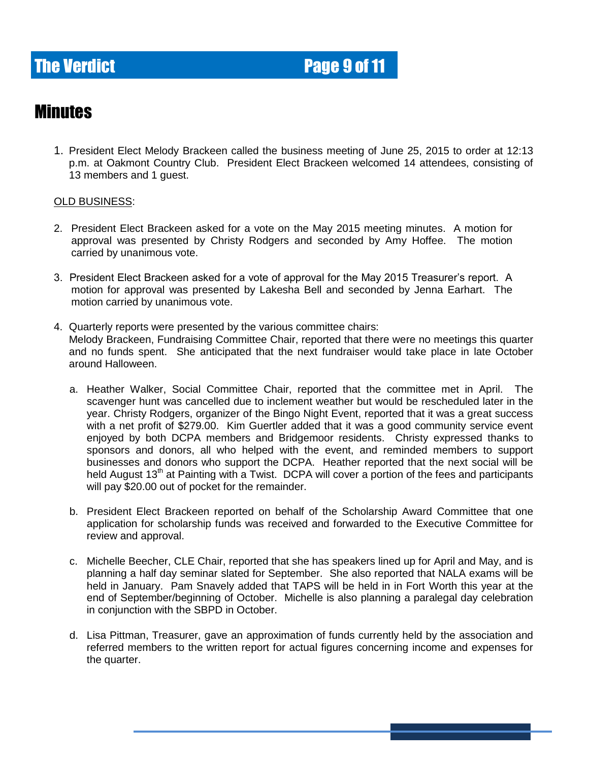# **The Verdict Electronic Electronic Page 9 of 11**

#### Minutes

1. President Elect Melody Brackeen called the business meeting of June 25, 2015 to order at 12:13 p.m. at Oakmont Country Club. President Elect Brackeen welcomed 14 attendees, consisting of 13 members and 1 guest.

#### OLD BUSINESS:

- 2. President Elect Brackeen asked for a vote on the May 2015 meeting minutes. A motion for approval was presented by Christy Rodgers and seconded by Amy Hoffee. The motion carried by unanimous vote.
- 3. President Elect Brackeen asked for a vote of approval for the May 2015 Treasurer's report. A motion for approval was presented by Lakesha Bell and seconded by Jenna Earhart. The motion carried by unanimous vote.
- 4. Quarterly reports were presented by the various committee chairs: Melody Brackeen, Fundraising Committee Chair, reported that there were no meetings this quarter and no funds spent. She anticipated that the next fundraiser would take place in late October around Halloween.
	- a. Heather Walker, Social Committee Chair, reported that the committee met in April. The scavenger hunt was cancelled due to inclement weather but would be rescheduled later in the year. Christy Rodgers, organizer of the Bingo Night Event, reported that it was a great success with a net profit of \$279.00. Kim Guertler added that it was a good community service event enjoyed by both DCPA members and Bridgemoor residents. Christy expressed thanks to sponsors and donors, all who helped with the event, and reminded members to support businesses and donors who support the DCPA. Heather reported that the next social will be held August 13<sup>th</sup> at Painting with a Twist. DCPA will cover a portion of the fees and participants will pay \$20.00 out of pocket for the remainder.
	- b. President Elect Brackeen reported on behalf of the Scholarship Award Committee that one application for scholarship funds was received and forwarded to the Executive Committee for review and approval.
	- c. Michelle Beecher, CLE Chair, reported that she has speakers lined up for April and May, and is planning a half day seminar slated for September. She also reported that NALA exams will be held in January. Pam Snavely added that TAPS will be held in in Fort Worth this year at the end of September/beginning of October. Michelle is also planning a paralegal day celebration in conjunction with the SBPD in October.
	- d. Lisa Pittman, Treasurer, gave an approximation of funds currently held by the association and referred members to the written report for actual figures concerning income and expenses for the quarter.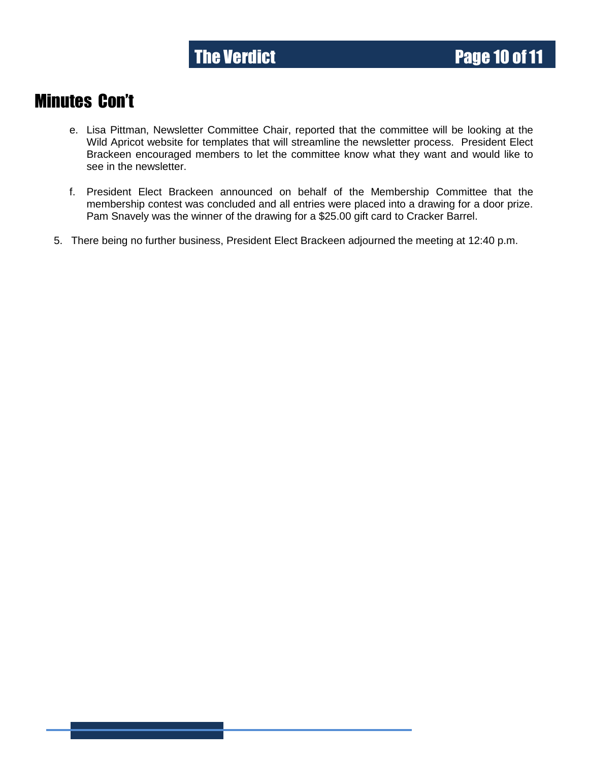### Minutes Con't

- e. Lisa Pittman, Newsletter Committee Chair, reported that the committee will be looking at the Wild Apricot website for templates that will streamline the newsletter process. President Elect Brackeen encouraged members to let the committee know what they want and would like to see in the newsletter.
- f. President Elect Brackeen announced on behalf of the Membership Committee that the membership contest was concluded and all entries were placed into a drawing for a door prize. Pam Snavely was the winner of the drawing for a \$25.00 gift card to Cracker Barrel.
- 5. There being no further business, President Elect Brackeen adjourned the meeting at 12:40 p.m.